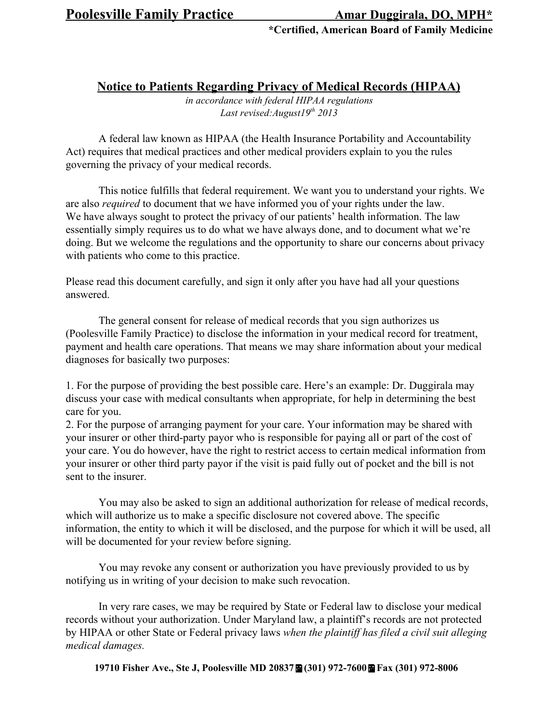**\*Certified, American Board of Family Medicine**

**Notice to Patients Regarding Privacy of Medical Records (HIPAA)**

*in accordance with federal HIPAA regulations Last revised:August19 th 2013*

A federal law known as HIPAA (the Health Insurance Portability and Accountability Act) requires that medical practices and other medical providers explain to you the rules governing the privacy of your medical records.

This notice fulfills that federal requirement. We want you to understand your rights. We are also *required* to document that we have informed you of your rights under the law. We have always sought to protect the privacy of our patients' health information. The law essentially simply requires us to do what we have always done, and to document what we're doing. But we welcome the regulations and the opportunity to share our concerns about privacy with patients who come to this practice.

Please read this document carefully, and sign it only after you have had all your questions answered.

The general consent for release of medical records that you sign authorizes us (Poolesville Family Practice) to disclose the information in your medical record for treatment, payment and health care operations. That means we may share information about your medical diagnoses for basically two purposes:

1. For the purpose of providing the best possible care. Here's an example: Dr. Duggirala may discuss your case with medical consultants when appropriate, for help in determining the best care for you.

2. For the purpose of arranging payment for your care. Your information may be shared with your insurer or other third-party payor who is responsible for paying all or part of the cost of your care. You do however, have the right to restrict access to certain medical information from your insurer or other third party payor if the visit is paid fully out of pocket and the bill is not sent to the insurer.

You may also be asked to sign an additional authorization for release of medical records, which will authorize us to make a specific disclosure not covered above. The specific information, the entity to which it will be disclosed, and the purpose for which it will be used, all will be documented for your review before signing.

You may revoke any consent or authorization you have previously provided to us by notifying us in writing of your decision to make such revocation.

In very rare cases, we may be required by State or Federal law to disclose your medical records without your authorization. Under Maryland law, a plaintiff's records are not protected by HIPAA or other State or Federal privacy laws *when the plaintif has filed a civil suit alleging medical damages.*

**19710 Fisher Ave., Ste J, Poolesville MD 20837** $\mathbf{\Xi}$  **(301) 972-7600** $\mathbf{\Xi}$  **Fax (301) 972-8006**